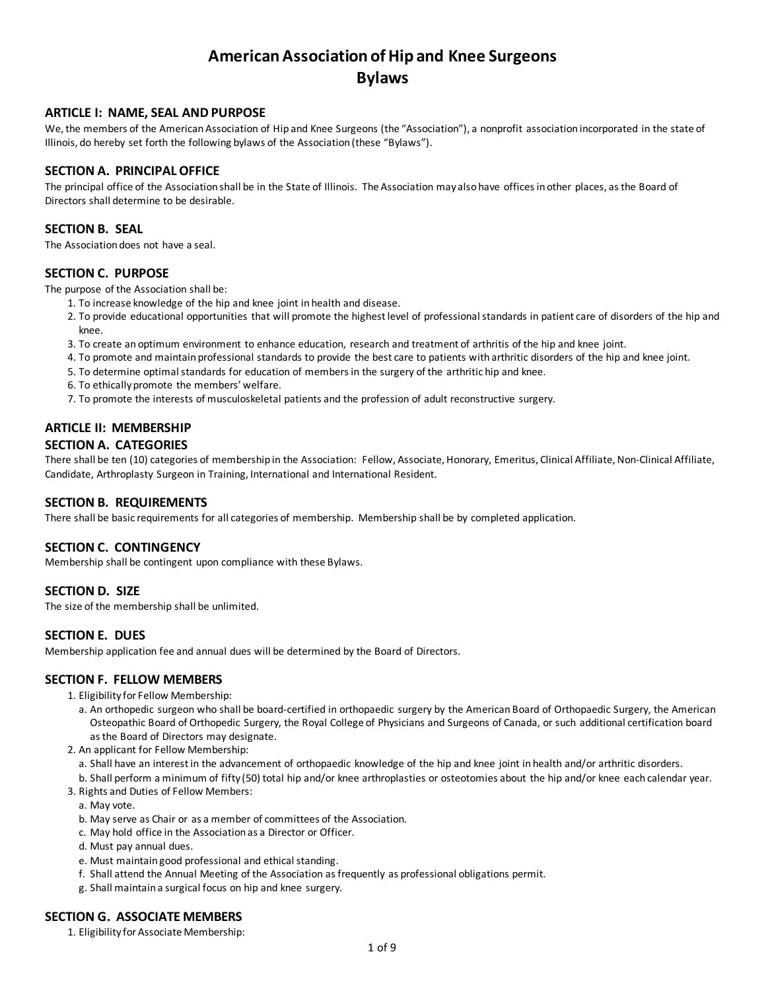# **American Association of Hip and Knee Surgeons Bylaws**

# **ARTICLE I: NAME, SEAL AND PURPOSE**

We, the members of the American Association of Hip and Knee Surgeons (the "Association"), a nonprofit association incorporated in the state of Illinois, do hereby set forth the following bylaws of the Association (these "Bylaws").

# **SECTION A. PRINCIPAL OFFICE**

The principal office of the Association shall be in the State of Illinois. The Association may also have offices in other places, as the Board of Directors shall determine to be desirable.

# **SECTION B. SEAL**

The Association does not have a seal.

### **SECTION C. PURPOSE**

The purpose of the Association shall be:

- 1. To increase knowledge of the hip and knee joint in health and disease.
- 2. To provide educational opportunities that will promote the highest level of professional standards in patient care of disorders of the hip and knee.
- 3. To create an optimum environment to enhance education, research and treatment of arthritis of the hip and knee joint.
- 4. To promote and maintain professional standards to provide the best care to patients with arthritic disorders of the hip and knee joint.
- 5. To determine optimal standards for education of members in the surgery of the arthritic hip and knee.
- 6. To ethically promote the members' welfare.
- 7. To promote the interests of musculoskeletal patients and the profession of adult reconstructive surgery.

# **ARTICLE II: MEMBERSHIP**

# **SECTION A. CATEGORIES**

There shall be ten (10) categories of membership in the Association: Fellow, Associate, Honorary, Emeritus, Clinical Affiliate, Non-Clinical Affiliate, Candidate, Arthroplasty Surgeon in Training, International and International Resident.

# **SECTION B. REQUIREMENTS**

There shall be basic requirements for all categories of membership. Membership shall be by completed application.

# **SECTION C. CONTINGENCY**

Membership shall be contingent upon compliance with these Bylaws.

# **SECTION D. SIZE**

The size of the membership shall be unlimited.

# **SECTION E. DUES**

Membership application fee and annual dues will be determined by the Board of Directors.

# **SECTION F. FELLOW MEMBERS**

- 1. Eligibility for Fellow Membership:
	- a. An orthopedic surgeon who shall be board-certified in orthopaedic surgery by the American Board of Orthopaedic Surgery, the American Osteopathic Board of Orthopedic Surgery, the Royal College of Physicians and Surgeons of Canada, or such additional certification board as the Board of Directors may designate.
- 2. An applicant for Fellow Membership:
	- a. Shall have an interest in the advancement of orthopaedic knowledge of the hip and knee joint in health and/or arthritic disorders.
- b. Shall perform a minimum of fifty (50) total hip and/or knee arthroplasties or osteotomies about the hip and/or knee each calendar year. 3. Rights and Duties of Fellow Members:
	- a. May vote.
	- b. May serve as Chair or as a member of committees of the Association.
	- c. May hold office in the Association as a Director or Officer.
	- d. Must pay annual dues.
	- e. Must maintain good professional and ethical standing.
	- f. Shall attend the Annual Meeting of the Association as frequently as professional obligations permit.
	- g. Shall maintain a surgical focus on hip and knee surgery.

# **SECTION G. ASSOCIATE MEMBERS**

1. Eligibility for Associate Membership: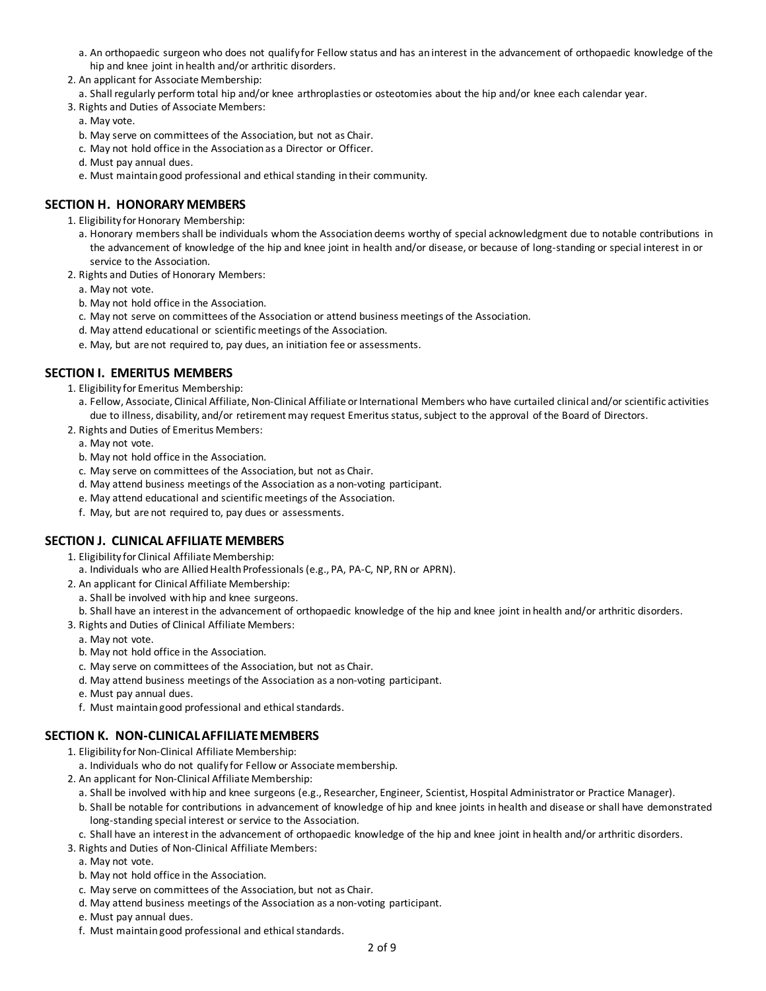- a. An orthopaedic surgeon who does not qualify for Fellow status and has an interest in the advancement of orthopaedic knowledge of the hip and knee joint in health and/or arthritic disorders.
- 2. An applicant for Associate Membership:
- a. Shall regularly perform total hip and/or knee arthroplasties or osteotomies about the hip and/or knee each calendar year.
- 3. Rights and Duties of Associate Members:

a. May vote.

- b. May serve on committees of the Association, but not as Chair.
- c. May not hold office in the Association as a Director or Officer.
- d. Must pay annual dues.
- e. Must maintain good professional and ethical standing in their community.

# **SECTION H. HONORARY MEMBERS**

- 1. Eligibility for Honorary Membership:
	- a. Honorary members shall be individuals whom the Association deems worthy of special acknowledgment due to notable contributions in the advancement of knowledge of the hip and knee joint in health and/or disease, or because of long-standing or special interest in or service to the Association.
- 2. Rights and Duties of Honorary Members:

a. May not vote.

- b. May not hold office in the Association.
- c. May not serve on committees of the Association or attend business meetings of the Association.
- d. May attend educational or scientific meetings of the Association.
- e. May, but are not required to, pay dues, an initiation fee or assessments.

# **SECTION I. EMERITUS MEMBERS**

- 1. Eligibility for Emeritus Membership:
	- a. Fellow, Associate, Clinical Affiliate, Non-Clinical Affiliate or International Members who have curtailed clinical and/or scientific activities due to illness, disability, and/or retirement may request Emeritus status, subject to the approval of the Board of Directors.
- 2. Rights and Duties of Emeritus Members:
	- a. May not vote.
	- b. May not hold office in the Association.
	- c. May serve on committees of the Association, but not as Chair.
	- d. May attend business meetings of the Association as a non-voting participant.
	- e. May attend educational and scientific meetings of the Association.
	- f. May, but are not required to, pay dues or assessments.

# **SECTION J. CLINICAL AFFILIATE MEMBERS**

- 1. Eligibility for Clinical Affiliate Membership:
- a. Individuals who are Allied Health Professionals(e.g., PA, PA-C, NP, RN or APRN).
- 2. An applicant for Clinical Affiliate Membership:
	- a. Shall be involved with hip and knee surgeons.
	- b. Shall have an interest in the advancement of orthopaedic knowledge of the hip and knee joint in health and/or arthritic disorders.
- 3. Rights and Duties of Clinical Affiliate Members:
	- a. May not vote.
	- b. May not hold office in the Association.
	- c. May serve on committees of the Association, but not as Chair.
	- d. May attend business meetings of the Association as a non-voting participant.
	- e. Must pay annual dues.
	- f. Must maintain good professional and ethical standards.

#### **SECTION K. NON-CLINICAL AFFILIATE MEMBERS**

- 1. Eligibility for Non-Clinical Affiliate Membership:
- a. Individuals who do not qualify for Fellow or Associate membership.
- 2. An applicant for Non-Clinical Affiliate Membership:
	- a. Shall be involved with hip and knee surgeons (e.g., Researcher, Engineer, Scientist, Hospital Administrator or Practice Manager).
	- b. Shall be notable for contributions in advancement of knowledge of hip and knee joints in health and disease or shall have demonstrated long-standing special interest or service to the Association.
	- c. Shall have an interest in the advancement of orthopaedic knowledge of the hip and knee joint in health and/or arthritic disorders.
- 3. Rights and Duties of Non-Clinical Affiliate Members:
- a. May not vote.
- b. May not hold office in the Association.
- c. May serve on committees of the Association, but not as Chair.
- d. May attend business meetings of the Association as a non-voting participant.
- e. Must pay annual dues.
- f. Must maintain good professional and ethical standards.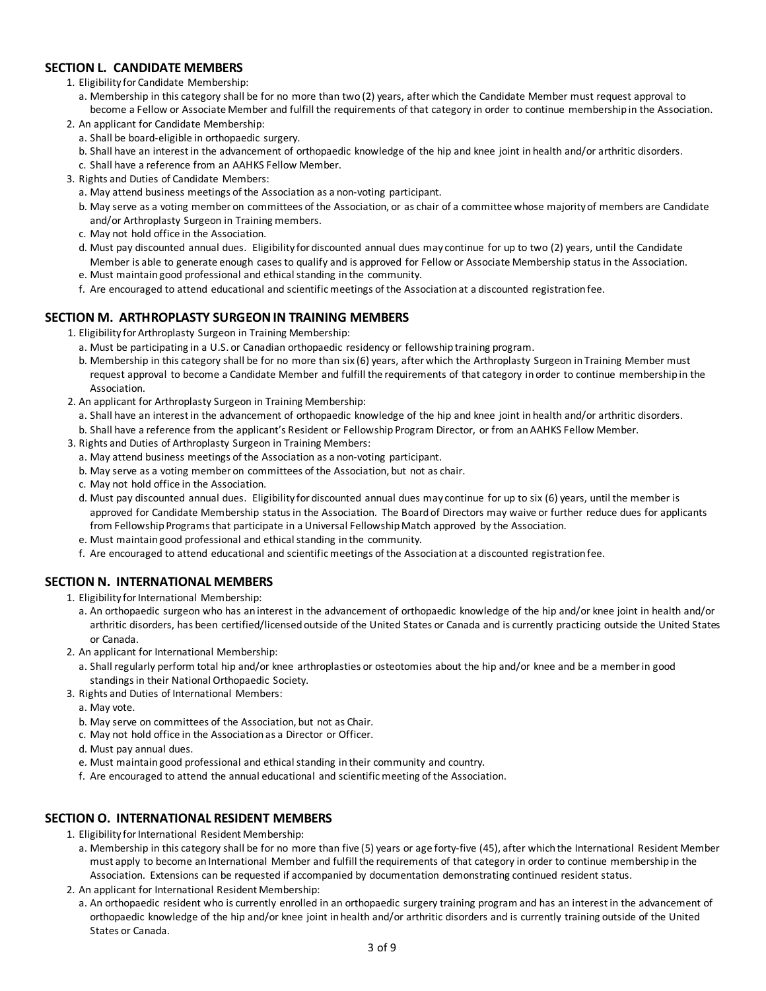# **SECTION L. CANDIDATE MEMBERS**

- 1. Eligibility for Candidate Membership:
- a. Membership in this category shall be for no more than two (2) years, after which the Candidate Member must request approval to become a Fellow or Associate Member and fulfill the requirements of that category in order to continue membership in the Association.
- 2. An applicant for Candidate Membership:
	- a. Shall be board-eligible in orthopaedic surgery.
	- b. Shall have an interest in the advancement of orthopaedic knowledge of the hip and knee joint in health and/or arthritic disorders.
	- c. Shall have a reference from an AAHKS Fellow Member.
- 3. Rights and Duties of Candidate Members:
	- a. May attend business meetings of the Association as a non-voting participant.
	- b. May serve as a voting member on committees of the Association, or as chair of a committee whose majority of members are Candidate and/or Arthroplasty Surgeon in Training members.
	- c. May not hold office in the Association.
	- d. Must pay discounted annual dues. Eligibility for discounted annual dues may continue for up to two (2) years, until the Candidate Member is able to generate enough cases to qualify and is approved for Fellow or Associate Membership status in the Association.
	- e. Must maintain good professional and ethical standing in the community.
	- f. Are encouraged to attend educational and scientific meetings of the Association at a discounted registration fee.

# **SECTION M. ARTHROPLASTY SURGEON IN TRAINING MEMBERS**

- 1. Eligibility for Arthroplasty Surgeon in Training Membership:
	- a. Must be participating in a U.S. or Canadian orthopaedic residency or fellowship training program.
	- b. Membership in this category shall be for no more than six (6) years, after which the Arthroplasty Surgeon in Training Member must request approval to become a Candidate Member and fulfill the requirements of that category in order to continue membership in the Association.
- 2. An applicant for Arthroplasty Surgeon in Training Membership:
	- a. Shall have an interest in the advancement of orthopaedic knowledge of the hip and knee joint in health and/or arthritic disorders.
	- b. Shall have a reference from the applicant's Resident or Fellowship Program Director, or from an AAHKS Fellow Member.
- 3. Rights and Duties of Arthroplasty Surgeon in Training Members:
	- a. May attend business meetings of the Association as a non-voting participant.
	- b. May serve as a voting member on committees of the Association, but not as chair.
	- c. May not hold office in the Association.
	- d. Must pay discounted annual dues. Eligibility for discounted annual dues may continue for up to six (6) years, until the member is approved for Candidate Membership status in the Association. The Board of Directors may waive or further reduce dues for applicants from Fellowship Programs that participate in a Universal Fellowship Match approved by the Association.
	- e. Must maintain good professional and ethical standing in the community.
	- f. Are encouraged to attend educational and scientific meetings of the Association at a discounted registration fee.

# **SECTION N. INTERNATIONAL MEMBERS**

- 1. Eligibility for International Membership:
	- a. An orthopaedic surgeon who has an interest in the advancement of orthopaedic knowledge of the hip and/or knee joint in health and/or arthritic disorders, has been certified/licensed outside of the United States or Canada and is currently practicing outside the United States or Canada.
- 2. An applicant for International Membership:
	- a. Shall regularly perform total hip and/or knee arthroplasties or osteotomies about the hip and/or knee and be a member in good standings in their National Orthopaedic Society.
- 3. Rights and Duties of International Members:
	- a. May vote.
	- b. May serve on committees of the Association, but not as Chair.
	- c. May not hold office in the Association as a Director or Officer.
	- d. Must pay annual dues.
	- e. Must maintain good professional and ethical standing in their community and country.
- f. Are encouraged to attend the annual educational and scientific meeting of the Association.

# **SECTION O. INTERNATIONAL RESIDENT MEMBERS**

- 1. Eligibility for International Resident Membership:
	- a. Membership in this category shall be for no more than five (5) years or age forty-five (45), after which the International Resident Member must apply to become an International Member and fulfill the requirements of that category in order to continue membership in the Association. Extensions can be requested if accompanied by documentation demonstrating continued resident status.
- 2. An applicant for International Resident Membership:
- a. An orthopaedic resident who is currently enrolled in an orthopaedic surgery training program and has an interest in the advancement of orthopaedic knowledge of the hip and/or knee joint in health and/or arthritic disorders and is currently training outside of the United States or Canada.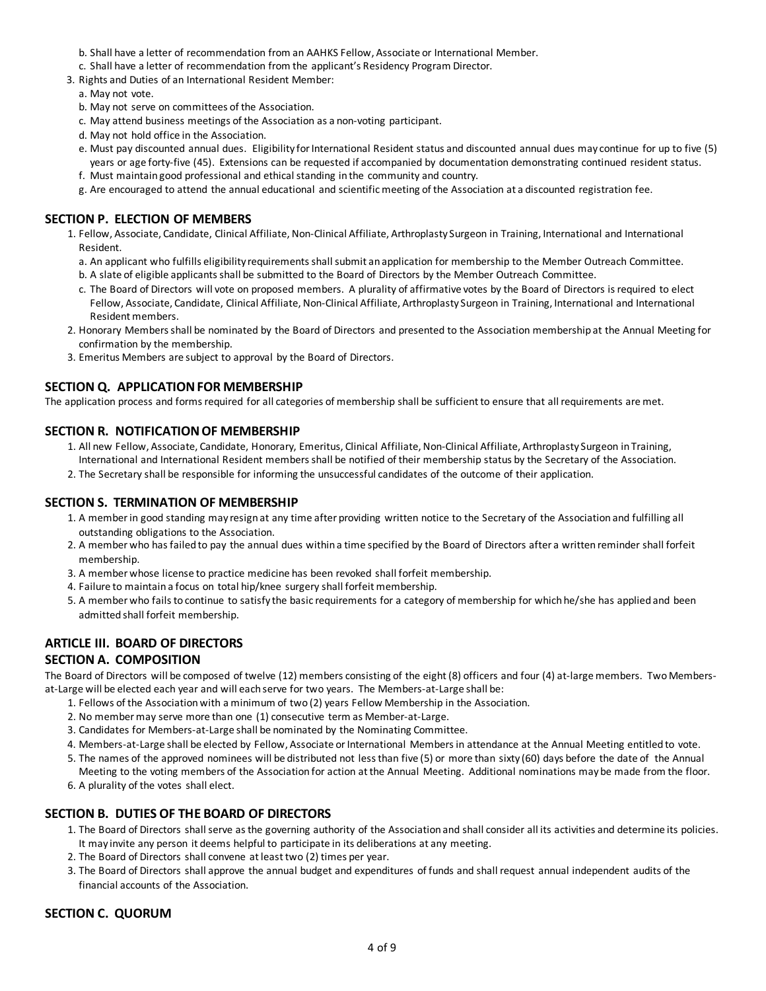- b. Shall have a letter of recommendation from an AAHKS Fellow, Associate or International Member.
- c. Shall have a letter of recommendation from the applicant's Residency Program Director.
- 3. Rights and Duties of an International Resident Member:
	- a. May not vote.
	- b. May not serve on committees of the Association.
	- c. May attend business meetings of the Association as a non-voting participant.
	- d. May not hold office in the Association.
	- e. Must pay discounted annual dues. Eligibility for International Resident status and discounted annual dues may continue for up to five (5) years or age forty-five (45). Extensions can be requested if accompanied by documentation demonstrating continued resident status.
	- f. Must maintain good professional and ethical standing in the community and country.
	- g. Are encouraged to attend the annual educational and scientific meeting of the Association at a discounted registration fee.

# **SECTION P. ELECTION OF MEMBERS**

- 1. Fellow, Associate, Candidate, Clinical Affiliate, Non-Clinical Affiliate, Arthroplasty Surgeon in Training, International and International Resident.
	- a. An applicant who fulfills eligibility requirements shall submit an application for membership to the Member Outreach Committee.
	- b. A slate of eligible applicants shall be submitted to the Board of Directors by the Member Outreach Committee.
	- c. The Board of Directors will vote on proposed members. A plurality of affirmative votes by the Board of Directors is required to elect Fellow, Associate, Candidate, Clinical Affiliate, Non-Clinical Affiliate, Arthroplasty Surgeon in Training, International and International Resident members.
- 2. Honorary Members shall be nominated by the Board of Directors and presented to the Association membership at the Annual Meeting for confirmation by the membership.
- 3. Emeritus Members are subject to approval by the Board of Directors.

# **SECTION Q. APPLICATION FOR MEMBERSHIP**

The application process and forms required for all categories of membership shall be sufficient to ensure that all requirements are met.

# **SECTION R. NOTIFICATION OF MEMBERSHIP**

- 1. All new Fellow, Associate, Candidate, Honorary, Emeritus, Clinical Affiliate, Non-Clinical Affiliate, Arthroplasty Surgeon in Training, International and International Resident members shall be notified of their membership status by the Secretary of the Association.
- 2. The Secretary shall be responsible for informing the unsuccessful candidates of the outcome of their application.

# **SECTION S. TERMINATION OF MEMBERSHIP**

- 1. A member in good standing may resign at any time after providing written notice to the Secretary of the Association and fulfilling all outstanding obligations to the Association.
- 2. A member who has failed to pay the annual dues within a time specified by the Board of Directors after a written reminder shall forfeit membership.
- 3. A member whose license to practice medicine has been revoked shall forfeit membership.
- 4. Failure to maintain a focus on total hip/knee surgery shall forfeit membership.
- 5. A member who fails to continue to satisfy the basic requirements for a category of membership for which he/she has applied and been admitted shall forfeit membership.

# **ARTICLE III. BOARD OF DIRECTORS**

# **SECTION A. COMPOSITION**

The Board of Directors will be composed of twelve (12) members consisting of the eight (8) officers and four (4) at-large members. TwoMembersat-Large will be elected each year and will each serve for two years. The Members-at-Large shall be:

- 1. Fellows of the Association with a minimum of two (2) years Fellow Membership in the Association.
- 2. No member may serve more than one (1) consecutive term as Member-at-Large.
- 3. Candidates for Members-at-Large shall be nominated by the Nominating Committee.
- 4. Members-at-Large shall be elected by Fellow, Associate or International Members in attendance at the Annual Meeting entitled to vote.
- 5. The names of the approved nominees will be distributed not less than five (5) or more than sixty (60) days before the date of the Annual Meeting to the voting members of the Association for action at the Annual Meeting. Additional nominations may be made from the floor.
- 6. A plurality of the votes shall elect.

# **SECTION B. DUTIES OF THE BOARD OF DIRECTORS**

- 1. The Board of Directors shall serve as the governing authority of the Association and shall consider all its activities and determine its policies. It may invite any person it deems helpful to participate in its deliberations at any meeting.
- 2. The Board of Directors shall convene at least two (2) times per year.
- 3. The Board of Directors shall approve the annual budget and expenditures of funds and shall request annual independent audits of the financial accounts of the Association.

# **SECTION C. QUORUM**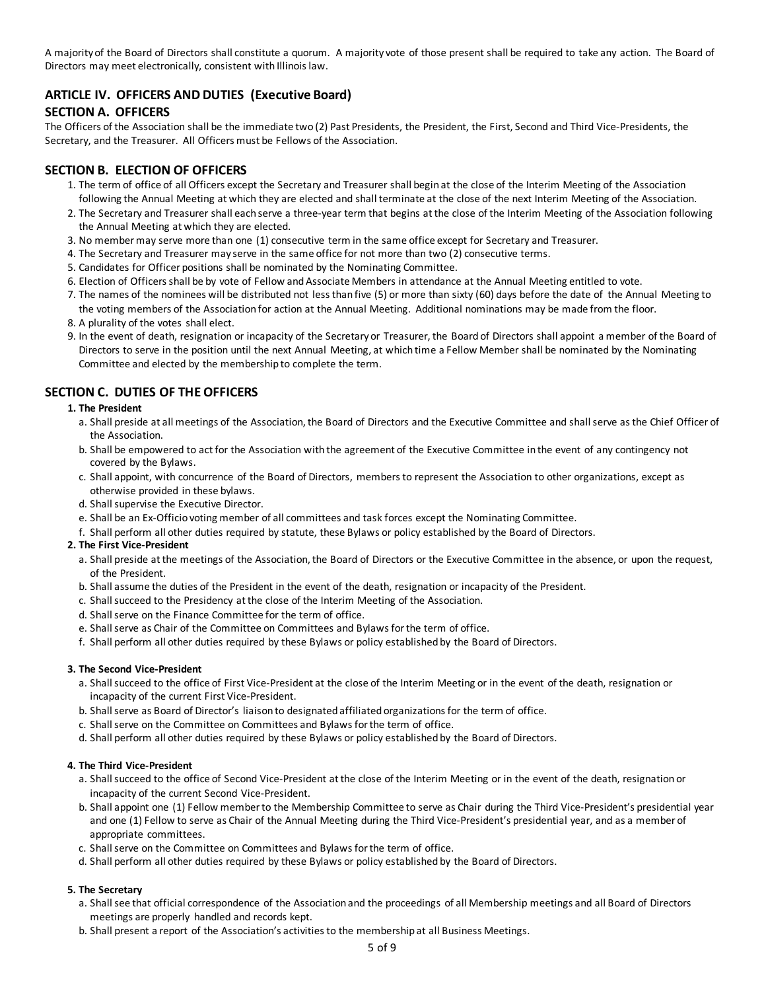A majority of the Board of Directors shall constitute a quorum. A majority vote of those present shall be required to take any action. The Board of Directors may meet electronically, consistent with Illinois law.

# **ARTICLE IV. OFFICERS AND DUTIES (Executive Board)**

# **SECTION A. OFFICERS**

The Officers of the Association shall be the immediate two (2) Past Presidents, the President, the First, Second and Third Vice-Presidents, the Secretary, and the Treasurer. All Officers must be Fellows of the Association.

#### **SECTION B. ELECTION OF OFFICERS**

- 1. The term of office of all Officers except the Secretary and Treasurer shall begin at the close of the Interim Meeting of the Association following the Annual Meeting at which they are elected and shall terminate at the close of the next Interim Meeting of the Association.
- 2. The Secretary and Treasurer shall each serve a three-year term that begins at the close of the Interim Meeting of the Association following the Annual Meeting at which they are elected.
- 3. No member may serve more than one (1) consecutive term in the same office except for Secretary and Treasurer.
- 4. The Secretary and Treasurer may serve in the same office for not more than two (2) consecutive terms.
- 5. Candidates for Officer positions shall be nominated by the Nominating Committee.
- 6. Election of Officers shall be by vote of Fellow and Associate Members in attendance at the Annual Meeting entitled to vote.
- 7. The names of the nominees will be distributed not less than five (5) or more than sixty (60) days before the date of the Annual Meeting to the voting members of the Association for action at the Annual Meeting. Additional nominations may be made from the floor.
- 8. A plurality of the votes shall elect.
- 9. In the event of death, resignation or incapacity of the Secretary or Treasurer, the Board of Directors shall appoint a member of the Board of Directors to serve in the position until the next Annual Meeting, at which time a Fellow Member shall be nominated by the Nominating Committee and elected by the membership to complete the term.

# **SECTION C. DUTIES OF THE OFFICERS**

#### **1. The President**

- a. Shall preside at all meetings of the Association, the Board of Directors and the Executive Committee and shall serve as the Chief Officer of the Association.
- b. Shall be empowered to act for the Association with the agreement of the Executive Committee in the event of any contingency not covered by the Bylaws.
- c. Shall appoint, with concurrence of the Board of Directors, members to represent the Association to other organizations, except as otherwise provided in these bylaws.
- d. Shall supervise the Executive Director.
- e. Shall be an Ex-Officio voting member of all committees and task forces except the Nominating Committee.
- f. Shall perform all other duties required by statute, these Bylaws or policy established by the Board of Directors.

#### **2. The First Vice-President**

- a. Shall preside at the meetings of the Association, the Board of Directors or the Executive Committee in the absence, or upon the request, of the President.
- b. Shall assume the duties of the President in the event of the death, resignation or incapacity of the President.
- c. Shall succeed to the Presidency at the close of the Interim Meeting of the Association.
- d. Shall serve on the Finance Committee for the term of office.
- e. Shall serve as Chair of the Committee on Committees and Bylaws for the term of office.
- f. Shall perform all other duties required by these Bylaws or policy established by the Board of Directors.

#### **3. The Second Vice-President**

- a. Shall succeed to the office of First Vice-President at the close of the Interim Meeting or in the event of the death, resignation or incapacity of the current First Vice-President.
- b. Shall serve as Board of Director's liaison to designated affiliated organizations for the term of office.
- c. Shall serve on the Committee on Committees and Bylaws for the term of office.
- d. Shall perform all other duties required by these Bylaws or policy established by the Board of Directors.

#### **4. The Third Vice-President**

- a. Shall succeed to the office of Second Vice-President at the close of the Interim Meeting or in the event of the death, resignation or incapacity of the current Second Vice-President.
- b. Shall appoint one (1) Fellow member to the Membership Committee to serve as Chair during the Third Vice-President's presidential year and one (1) Fellow to serve as Chair of the Annual Meeting during the Third Vice-President's presidential year, and as a member of appropriate committees.
- c. Shall serve on the Committee on Committees and Bylaws for the term of office.
- d. Shall perform all other duties required by these Bylaws or policy established by the Board of Directors.

#### **5. The Secretary**

- a. Shall see that official correspondence of the Association and the proceedings of all Membership meetings and all Board of Directors meetings are properly handled and records kept.
- b. Shall present a report of the Association's activities to the membership at all Business Meetings.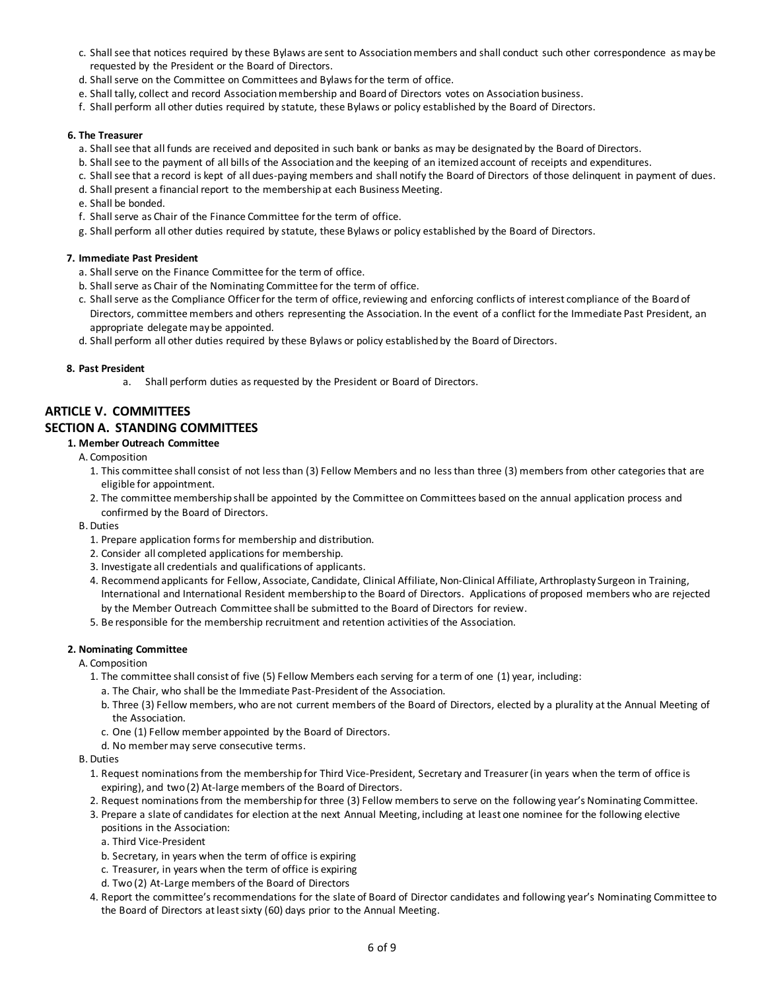- c. Shall see that notices required by these Bylaws are sent to Association members and shall conduct such other correspondence as may be requested by the President or the Board of Directors.
- d. Shall serve on the Committee on Committees and Bylaws for the term of office.
- e. Shall tally, collect and record Association membership and Board of Directors votes on Association business.
- f. Shall perform all other duties required by statute, these Bylaws or policy established by the Board of Directors.

#### **6. The Treasurer**

- a. Shall see that all funds are received and deposited in such bank or banks as may be designated by the Board of Directors.
- b. Shall see to the payment of all bills of the Association and the keeping of an itemized account of receipts and expenditures.
- c. Shall see that a record is kept of all dues-paying members and shall notify the Board of Directors of those delinquent in payment of dues.
- d. Shall present a financial report to the membership at each Business Meeting.
- e. Shall be bonded.
- f. Shall serve as Chair of the Finance Committee for the term of office.
- g. Shall perform all other duties required by statute, these Bylaws or policy established by the Board of Directors.

#### **7. Immediate Past President**

- a. Shall serve on the Finance Committee for the term of office.
- b. Shall serve as Chair of the Nominating Committee for the term of office.
- c. Shall serve as the Compliance Officer for the term of office, reviewing and enforcing conflicts of interest compliance of the Board of Directors, committee members and others representing the Association. In the event of a conflict for the Immediate Past President, an appropriate delegate may be appointed.
- d. Shall perform all other duties required by these Bylaws or policy established by the Board of Directors.

#### **8. Past President**

a. Shall perform duties as requested by the President or Board of Directors.

# **ARTICLE V. COMMITTEES**

# **SECTION A. STANDING COMMITTEES**

- **1. Member Outreach Committee**
	- A. Composition
		- 1. This committee shall consist of not less than (3) Fellow Members and no less than three (3) members from other categories that are eligible for appointment.
		- 2. The committee membership shall be appointed by the Committee on Committees based on the annual application process and confirmed by the Board of Directors.
	- B. Duties
		- 1. Prepare application forms for membership and distribution.
		- 2. Consider all completed applications for membership.
		- 3. Investigate all credentials and qualifications of applicants.
		- 4. Recommend applicants for Fellow, Associate, Candidate, Clinical Affiliate, Non-Clinical Affiliate, Arthroplasty Surgeon in Training, International and International Resident membership to the Board of Directors. Applications of proposed members who are rejected by the Member Outreach Committee shall be submitted to the Board of Directors for review.
		- 5. Be responsible for the membership recruitment and retention activities of the Association.

#### **2. Nominating Committee**

- A. Composition
	- 1. The committee shall consist of five (5) Fellow Members each serving for a term of one (1) year, including:
		- a. The Chair, who shall be the Immediate Past-President of the Association.
		- b. Three (3) Fellow members, who are not current members of the Board of Directors, elected by a plurality atthe Annual Meeting of the Association.
		- c. One (1) Fellow member appointed by the Board of Directors.
		- d. No member may serve consecutive terms.
- B. Duties
	- 1. Request nominations from the membership for Third Vice-President, Secretary and Treasurer (in years when the term of office is expiring), and two (2) At-large members of the Board of Directors.
	- 2. Request nominations from the membership for three (3) Fellow members to serve on the following year's Nominating Committee.
	- 3. Prepare a slate of candidates for election at the next Annual Meeting, including at least one nominee for the following elective
		- positions in the Association:
		- a. Third Vice-President
		- b. Secretary, in years when the term of office is expiring
		- c. Treasurer, in years when the term of office is expiring
		- d. Two (2) At-Large members of the Board of Directors
	- 4. Report the committee's recommendations for the slate of Board of Director candidates and following year's Nominating Committee to the Board of Directors at least sixty (60) days prior to the Annual Meeting.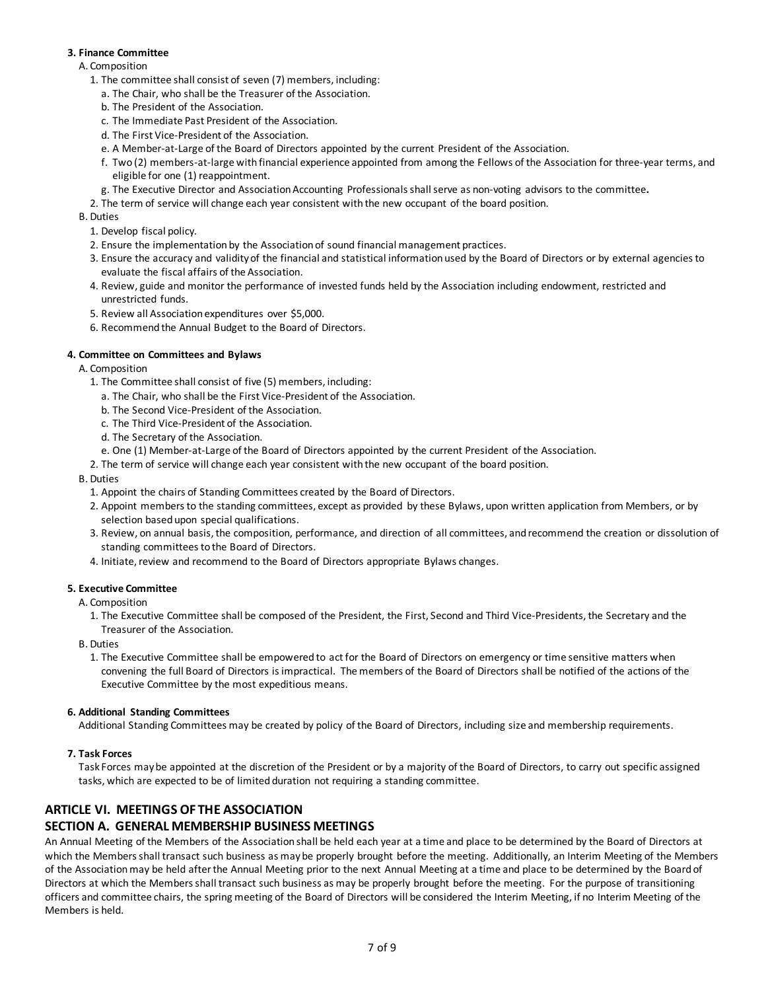#### **3. Finance Committee**

#### A. Composition

- 1. The committee shall consist of seven (7) members, including:
	- a. The Chair, who shall be the Treasurer of the Association.
	- b. The President of the Association.
	- c. The Immediate Past President of the Association.
	- d. The First Vice-President of the Association.
	- e. A Member-at-Large of the Board of Directors appointed by the current President of the Association.
	- f. Two (2) members-at-large with financial experience appointed from among the Fellows of the Association for three-year terms, and eligible for one (1) reappointment.
	- g. The Executive Director and Association Accounting Professionals shall serve as non-voting advisors to the committee**.**
- 2. The term of service will change each year consistent with the new occupant of the board position.

B. Duties

- 1. Develop fiscal policy.
- 2. Ensure the implementation by the Association of sound financial management practices.
- 3. Ensure the accuracy and validity of the financial and statistical information used by the Board of Directors or by external agencies to evaluate the fiscal affairs of the Association.
- 4. Review, guide and monitor the performance of invested funds held by the Association including endowment, restricted and unrestricted funds.
- 5. Review all Association expenditures over \$5,000.
- 6. Recommend the Annual Budget to the Board of Directors.

### **4. Committee on Committees and Bylaws**

A. Composition

- 1. The Committee shall consist of five (5) members, including:
	- a. The Chair, who shall be the First Vice-President of the Association.
	- b. The Second Vice-President of the Association.
	- c. The Third Vice-President of the Association.
	- d. The Secretary of the Association.
	- e. One (1) Member-at-Large of the Board of Directors appointed by the current President of the Association.
- 2. The term of service will change each year consistent with the new occupant of the board position.

#### B. Duties

- 1. Appoint the chairs of Standing Committees created by the Board of Directors.
- 2. Appoint members to the standing committees, except as provided by these Bylaws, upon written application from Members, or by selection based upon special qualifications.
- 3. Review, on annual basis, the composition, performance, and direction of all committees, and recommend the creation or dissolution of standing committees to the Board of Directors.
- 4. Initiate, review and recommend to the Board of Directors appropriate Bylaws changes.

#### **5. Executive Committee**

#### A. Composition

- 1. The Executive Committee shall be composed of the President, the First, Second and Third Vice-Presidents, the Secretary and the Treasurer of the Association.
- B. Duties
	- 1. The Executive Committee shall be empowered to act for the Board of Directors on emergency or time sensitive matters when convening the full Board of Directors is impractical. The members of the Board of Directors shall be notified of the actions of the Executive Committee by the most expeditious means.

#### **6. Additional Standing Committees**

Additional Standing Committees may be created by policy of the Board of Directors, including size and membership requirements.

# **7. Task Forces**

Task Forces may be appointed at the discretion of the President or by a majority of the Board of Directors, to carry out specific assigned tasks, which are expected to be of limited duration not requiring a standing committee.

# **ARTICLE VI. MEETINGS OF THE ASSOCIATION**

# **SECTION A. GENERAL MEMBERSHIP BUSINESS MEETINGS**

An Annual Meeting of the Members of the Association shall be held each year at a time and place to be determined by the Board of Directors at which the Members shall transact such business as may be properly brought before the meeting. Additionally, an Interim Meeting of the Members of the Association may be held after the Annual Meeting prior to the next Annual Meeting at a time and place to be determined by the Board of Directors at which the Members shall transact such business as may be properly brought before the meeting. For the purpose of transitioning officers and committee chairs, the spring meeting of the Board of Directors will be considered the Interim Meeting, if no Interim Meeting of the Members is held.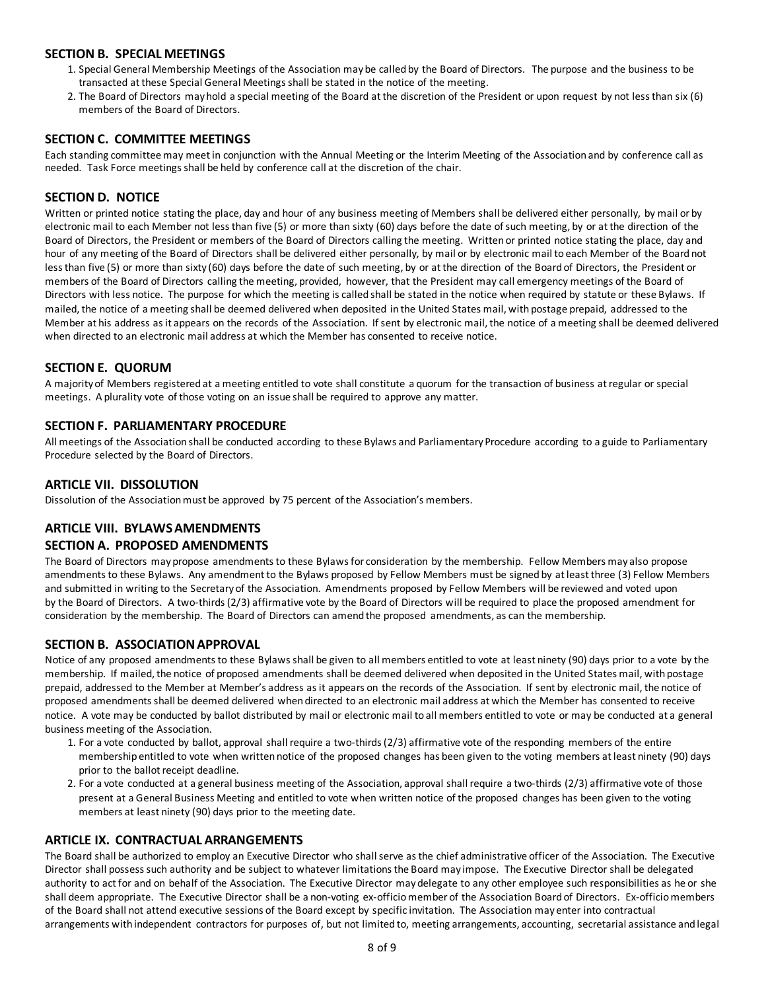### **SECTION B. SPECIAL MEETINGS**

- 1. Special General Membership Meetings of the Association may be called by the Board of Directors. The purpose and the business to be transacted at these Special General Meetings shall be stated in the notice of the meeting.
- 2. The Board of Directors may hold a special meeting of the Board at the discretion of the President or upon request by not less than six (6) members of the Board of Directors.

### **SECTION C. COMMITTEE MEETINGS**

Each standing committee may meet in conjunction with the Annual Meeting or the Interim Meeting of the Association and by conference call as needed. Task Force meetings shall be held by conference call at the discretion of the chair.

# **SECTION D. NOTICE**

Written or printed notice stating the place, day and hour of any business meeting of Members shall be delivered either personally, by mail or by electronic mail to each Member not less than five (5) or more than sixty (60) days before the date of such meeting, by or at the direction of the Board of Directors, the President or members of the Board of Directors calling the meeting. Written or printed notice stating the place, day and hour of any meeting of the Board of Directors shall be delivered either personally, by mail or by electronic mail to each Member of the Board not less than five (5) or more than sixty (60) days before the date of such meeting, by or at the direction of the Board of Directors, the President or members of the Board of Directors calling the meeting, provided, however, that the President may call emergency meetings of the Board of Directors with less notice. The purpose for which the meeting is called shall be stated in the notice when required by statute or these Bylaws. If mailed, the notice of a meeting shall be deemed delivered when deposited in the United States mail, with postage prepaid, addressed to the Member at his address as it appears on the records of the Association. If sent by electronic mail, the notice of a meeting shall be deemed delivered when directed to an electronic mail address at which the Member has consented to receive notice.

### **SECTION E. QUORUM**

A majority of Members registered at a meeting entitled to vote shall constitute a quorum for the transaction of business at regular or special meetings. A plurality vote of those voting on an issue shall be required to approve any matter.

### **SECTION F. PARLIAMENTARY PROCEDURE**

All meetings of the Association shall be conducted according to these Bylaws and Parliamentary Procedure according to a guide to Parliamentary Procedure selected by the Board of Directors.

### **ARTICLE VII. DISSOLUTION**

Dissolution of the Association must be approved by 75 percent of the Association's members.

#### **ARTICLE VIII. BYLAWS AMENDMENTS**

#### **SECTION A. PROPOSED AMENDMENTS**

The Board of Directors may propose amendments to these Bylaws for consideration by the membership. Fellow Members may also propose amendments to these Bylaws. Any amendment to the Bylaws proposed by Fellow Members must be signed by at least three (3) Fellow Members and submitted in writing to the Secretary of the Association. Amendments proposed by Fellow Members will be reviewed and voted upon by the Board of Directors. A two-thirds (2/3) affirmative vote by the Board of Directors will be required to place the proposed amendment for consideration by the membership. The Board of Directors can amend the proposed amendments, as can the membership.

#### **SECTION B. ASSOCIATION APPROVAL**

Notice of any proposed amendments to these Bylaws shall be given to all members entitled to vote at least ninety (90) days prior to a vote by the membership. If mailed, the notice of proposed amendments shall be deemed delivered when deposited in the United States mail, with postage prepaid, addressed to the Member at Member's address as it appears on the records of the Association. If sent by electronic mail, the notice of proposed amendments shall be deemed delivered when directed to an electronic mail address at which the Member has consented to receive notice. A vote may be conducted by ballot distributed by mail or electronic mail to all members entitled to vote or may be conducted at a general business meeting of the Association.

- 1. For a vote conducted by ballot, approval shall require a two-thirds (2/3) affirmative vote of the responding members of the entire membership entitled to vote when written notice of the proposed changes has been given to the voting members at least ninety (90) days prior to the ballot receipt deadline.
- 2. For a vote conducted at a general business meeting of the Association, approval shall require a two-thirds (2/3) affirmative vote of those present at a General Business Meeting and entitled to vote when written notice of the proposed changes has been given to the voting members at least ninety (90) days prior to the meeting date.

### **ARTICLE IX. CONTRACTUAL ARRANGEMENTS**

The Board shall be authorized to employ an Executive Director who shall serve as the chief administrative officer of the Association. The Executive Director shall possess such authority and be subject to whatever limitations the Board may impose. The Executive Director shall be delegated authority to act for and on behalf of the Association. The Executive Director may delegate to any other employee such responsibilities as he or she shall deem appropriate. The Executive Director shall be a non-voting ex-officio member of the Association Board of Directors. Ex-officio members of the Board shall not attend executive sessions of the Board except by specific invitation. The Association may enter into contractual arrangements with independent contractors for purposes of, but not limited to, meeting arrangements, accounting, secretarial assistance and legal